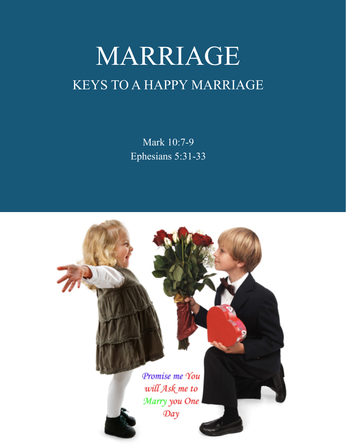# MARRIAGE KEYS TO A HAPPY MARRIAGE

Mark 10:7-9 Ephesians 5:31-33

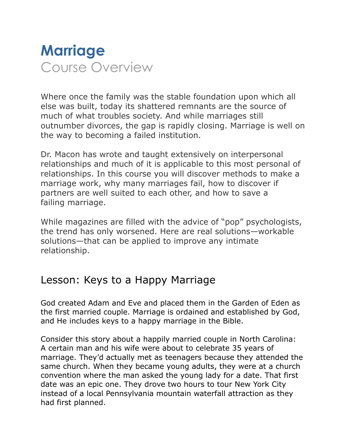

Where once the family was the stable foundation upon which all else was built, today its shattered remnants are the source of much of what troubles society. And while marriages still outnumber divorces, the gap is rapidly closing. Marriage is well on the way to becoming a failed institution.

Dr. Macon has wrote and taught extensively on interpersonal relationships and much of it is applicable to this most personal of relationships. In this course you will discover methods to make a marriage work, why many marriages fail, how to discover if partners are well suited to each other, and how to save a failing marriage.

While magazines are filled with the advice of "pop" psychologists, the trend has only worsened. Here are real solutions—workable solutions—that can be applied to improve any intimate relationship.

# Lesson: Keys to a Happy Marriage

God created Adam and Eve and placed them in the Garden of Eden as the first married couple. Marriage is ordained and established by God, and He includes keys to a happy marriage in the Bible.

Consider this story about a happily married couple in North Carolina: A certain man and his wife were about to celebrate 35 years of marriage. They'd actually met as teenagers because they attended the same church. When they became young adults, they were at a church convention where the man asked the young lady for a date. That first date was an epic one. They drove two hours to tour New York City instead of a local Pennsylvania mountain waterfall attraction as they had first planned.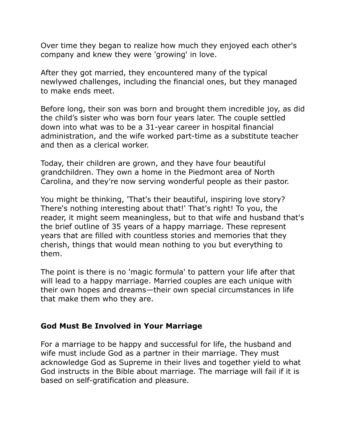Over time they began to realize how much they enjoyed each other's company and knew they were 'growing' in love.

After they got married, they encountered many of the typical newlywed challenges, including the financial ones, but they managed to make ends meet.

Before long, their son was born and brought them incredible joy, as did the child's sister who was born four years later. The couple settled down into what was to be a 31-year career in hospital financial administration, and the wife worked part-time as a substitute teacher and then as a clerical worker.

Today, their children are grown, and they have four beautiful grandchildren. They own a home in the Piedmont area of North Carolina, and they're now serving wonderful people as their pastor.

You might be thinking, 'That's their beautiful, inspiring love story? There's nothing interesting about that!' That's right! To you, the reader, it might seem meaningless, but to that wife and husband that's the brief outline of 35 years of a happy marriage. These represent years that are filled with countless stories and memories that they cherish, things that would mean nothing to you but everything to them.

The point is there is no 'magic formula' to pattern your life after that will lead to a happy marriage. Married couples are each unique with their own hopes and dreams—their own special circumstances in life that make them who they are.

# **God Must Be Involved in Your Marriage**

For a marriage to be happy and successful for life, the husband and wife must include God as a partner in their marriage. They must acknowledge God as Supreme in their lives and together yield to what God instructs in the Bible about marriage. The marriage will fail if it is based on self-gratification and pleasure.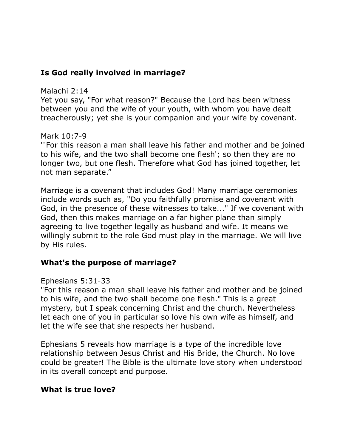# **Is God really involved in marriage?**

#### Malachi 2:14

Yet you say, "For what reason?" Because the Lord has been witness between you and the wife of your youth, with whom you have dealt treacherously; yet she is your companion and your wife by covenant.

# Mark 10:7-9

"'For this reason a man shall leave his father and mother and be joined to his wife, and the two shall become one flesh'; so then they are no longer two, but one flesh. Therefore what God has joined together, let not man separate."

Marriage is a covenant that includes God! Many marriage ceremonies include words such as, "Do you faithfully promise and covenant with God, in the presence of these witnesses to take..." If we covenant with God, then this makes marriage on a far higher plane than simply agreeing to live together legally as husband and wife. It means we willingly submit to the role God must play in the marriage. We will live by His rules.

# **What's the purpose of marriage?**

# Ephesians 5:31-33

"For this reason a man shall leave his father and mother and be joined to his wife, and the two shall become one flesh." This is a great mystery, but I speak concerning Christ and the church. Nevertheless let each one of you in particular so love his own wife as himself, and let the wife see that she respects her husband.

Ephesians 5 reveals how marriage is a type of the incredible love relationship between Jesus Christ and His Bride, the Church. No love could be greater! The Bible is the ultimate love story when understood in its overall concept and purpose.

# **What is true love?**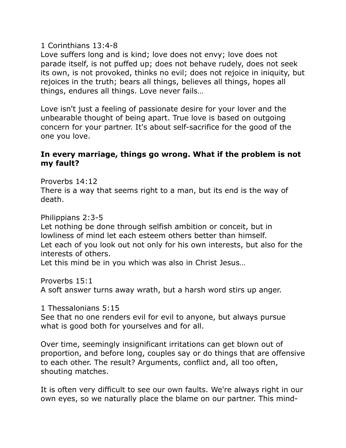#### 1 Corinthians 13:4-8

Love suffers long and is kind; love does not envy; love does not parade itself, is not puffed up; does not behave rudely, does not seek its own, is not provoked, thinks no evil; does not rejoice in iniquity, but rejoices in the truth; bears all things, believes all things, hopes all things, endures all things. Love never fails…

Love isn't just a feeling of passionate desire for your lover and the unbearable thought of being apart. True love is based on outgoing concern for your partner. It's about self-sacrifice for the good of the one you love.

#### **In every marriage, things go wrong. What if the problem is not my fault?**

Proverbs 14:12

There is a way that seems right to a man, but its end is the way of death.

Philippians 2:3-5

Let nothing be done through selfish ambition or conceit, but in lowliness of mind let each esteem others better than himself. Let each of you look out not only for his own interests, but also for the interests of others.

Let this mind be in you which was also in Christ Jesus…

Proverbs 15:1

A soft answer turns away wrath, but a harsh word stirs up anger.

1 Thessalonians 5:15

See that no one renders evil for evil to anyone, but always pursue what is good both for yourselves and for all.

Over time, seemingly insignificant irritations can get blown out of proportion, and before long, couples say or do things that are offensive to each other. The result? Arguments, conflict and, all too often, shouting matches.

It is often very difficult to see our own faults. We're always right in our own eyes, so we naturally place the blame on our partner. This mind-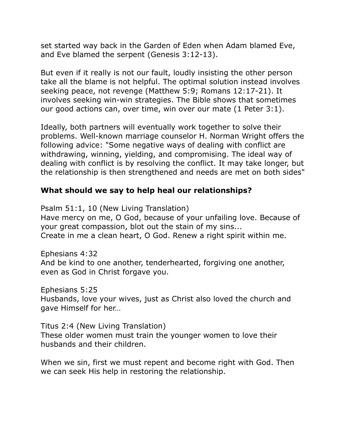set started way back in the Garden of Eden when Adam blamed Eve, and Eve blamed the serpent (Genesis 3:12-13).

But even if it really is not our fault, loudly insisting the other person take all the blame is not helpful. The optimal solution instead involves seeking peace, not revenge (Matthew 5:9; Romans 12:17-21). It involves seeking win-win strategies. The Bible shows that sometimes our good actions can, over time, win over our mate (1 Peter 3:1).

Ideally, both partners will eventually work together to solve their problems. Well-known marriage counselor H. Norman Wright offers the following advice: "Some negative ways of dealing with conflict are withdrawing, winning, yielding, and compromising. The ideal way of dealing with conflict is by resolving the conflict. It may take longer, but the relationship is then strengthened and needs are met on both sides"

# **What should we say to help heal our relationships?**

Psalm 51:1, 10 (New Living Translation) Have mercy on me, O God, because of your unfailing love. Because of your great compassion, blot out the stain of my sins... Create in me a clean heart, O God. Renew a right spirit within me.

Ephesians 4:32 And be kind to one another, tenderhearted, forgiving one another, even as God in Christ forgave you.

Ephesians 5:25 Husbands, love your wives, just as Christ also loved the church and gave Himself for her…

Titus 2:4 (New Living Translation) These older women must train the younger women to love their husbands and their children.

When we sin, first we must repent and become right with God. Then we can seek His help in restoring the relationship.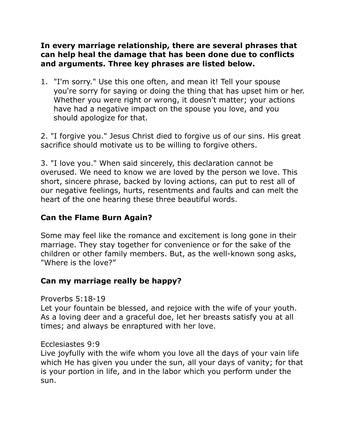# **In every marriage relationship, there are several phrases that can help heal the damage that has been done due to conflicts and arguments. Three key phrases are listed below.**

1. "I'm sorry." Use this one often, and mean it! Tell your spouse you're sorry for saying or doing the thing that has upset him or her. Whether you were right or wrong, it doesn't matter; your actions have had a negative impact on the spouse you love, and you should apologize for that.

2. "I forgive you." Jesus Christ died to forgive us of our sins. His great sacrifice should motivate us to be willing to forgive others.

3. "I love you." When said sincerely, this declaration cannot be overused. We need to know we are loved by the person we love. This short, sincere phrase, backed by loving actions, can put to rest all of our negative feelings, hurts, resentments and faults and can melt the heart of the one hearing these three beautiful words.

# **Can the Flame Burn Again?**

Some may feel like the romance and excitement is long gone in their marriage. They stay together for convenience or for the sake of the children or other family members. But, as the well-known song asks, "Where is the love?"

# **Can my marriage really be happy?**

#### Proverbs 5:18-19

Let your fountain be blessed, and rejoice with the wife of your youth. As a loving deer and a graceful doe, let her breasts satisfy you at all times; and always be enraptured with her love.

# Ecclesiastes 9:9

Live joyfully with the wife whom you love all the days of your vain life which He has given you under the sun, all your days of vanity; for that is your portion in life, and in the labor which you perform under the sun.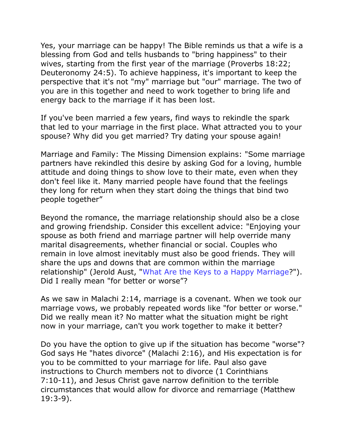Yes, your marriage can be happy! The Bible reminds us that a wife is a blessing from God and tells husbands to "bring happiness" to their wives, starting from the first year of the marriage (Proverbs 18:22; Deuteronomy 24:5). To achieve happiness, it's important to keep the perspective that it's not "my" marriage but "our" marriage. The two of you are in this together and need to work together to bring life and energy back to the marriage if it has been lost.

If you've been married a few years, find ways to rekindle the spark that led to your marriage in the first place. What attracted you to your spouse? Why did you get married? Try dating your spouse again!

Marriage and Family: The Missing Dimension explains: "Some marriage partners have rekindled this desire by asking God for a loving, humble attitude and doing things to show love to their mate, even when they don't feel like it. Many married people have found that the feelings they long for return when they start doing the things that bind two people together"

Beyond the romance, the marriage relationship should also be a close and growing friendship. Consider this excellent advice: "Enjoying your spouse as both friend and marriage partner will help override many marital disagreements, whether financial or social. Couples who remain in love almost inevitably must also be good friends. They will share the ups and downs that are common within the marriage relationship" (Jerold Aust, "What Are the Keys to a Happy Marriage?"). Did I really mean "for better or worse"?

As we saw in Malachi 2:14, marriage is a covenant. When we took our marriage vows, we probably repeated words like "for better or worse." Did we really mean it? No matter what the situation might be right now in your marriage, can't you work together to make it better?

Do you have the option to give up if the situation has become "worse"? God says He "hates divorce" (Malachi 2:16), and His expectation is for you to be committed to your marriage for life. Paul also gave instructions to Church members not to divorce (1 Corinthians 7:10-11), and Jesus Christ gave narrow definition to the terrible circumstances that would allow for divorce and remarriage (Matthew 19:3-9).